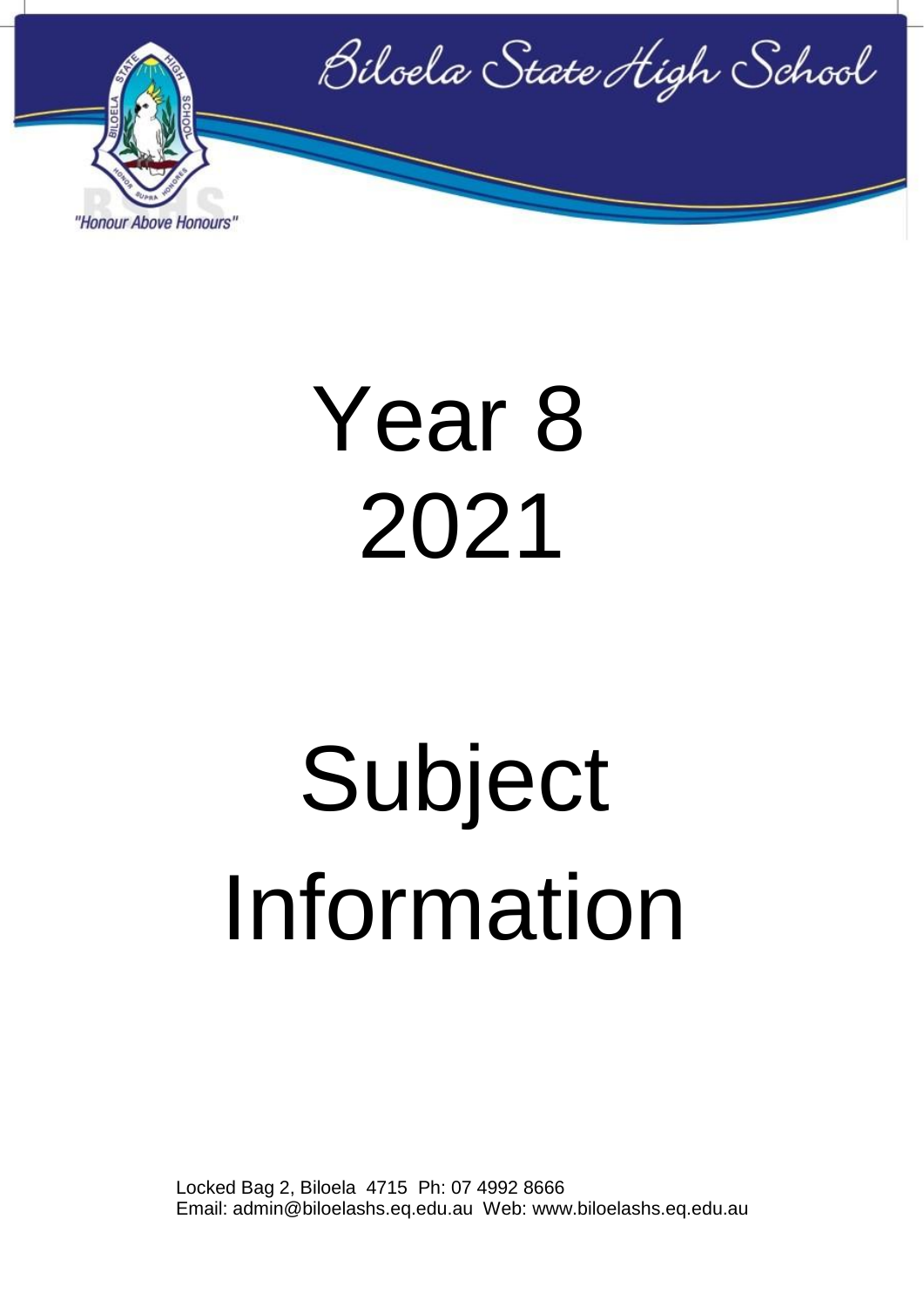

## Year 8 2021

# Subject Information

Locked Bag 2, Biloela 4715 Ph: 07 4992 8666 Email: admin@biloelashs.eq.edu.au Web: www.biloelashs.eq.edu.au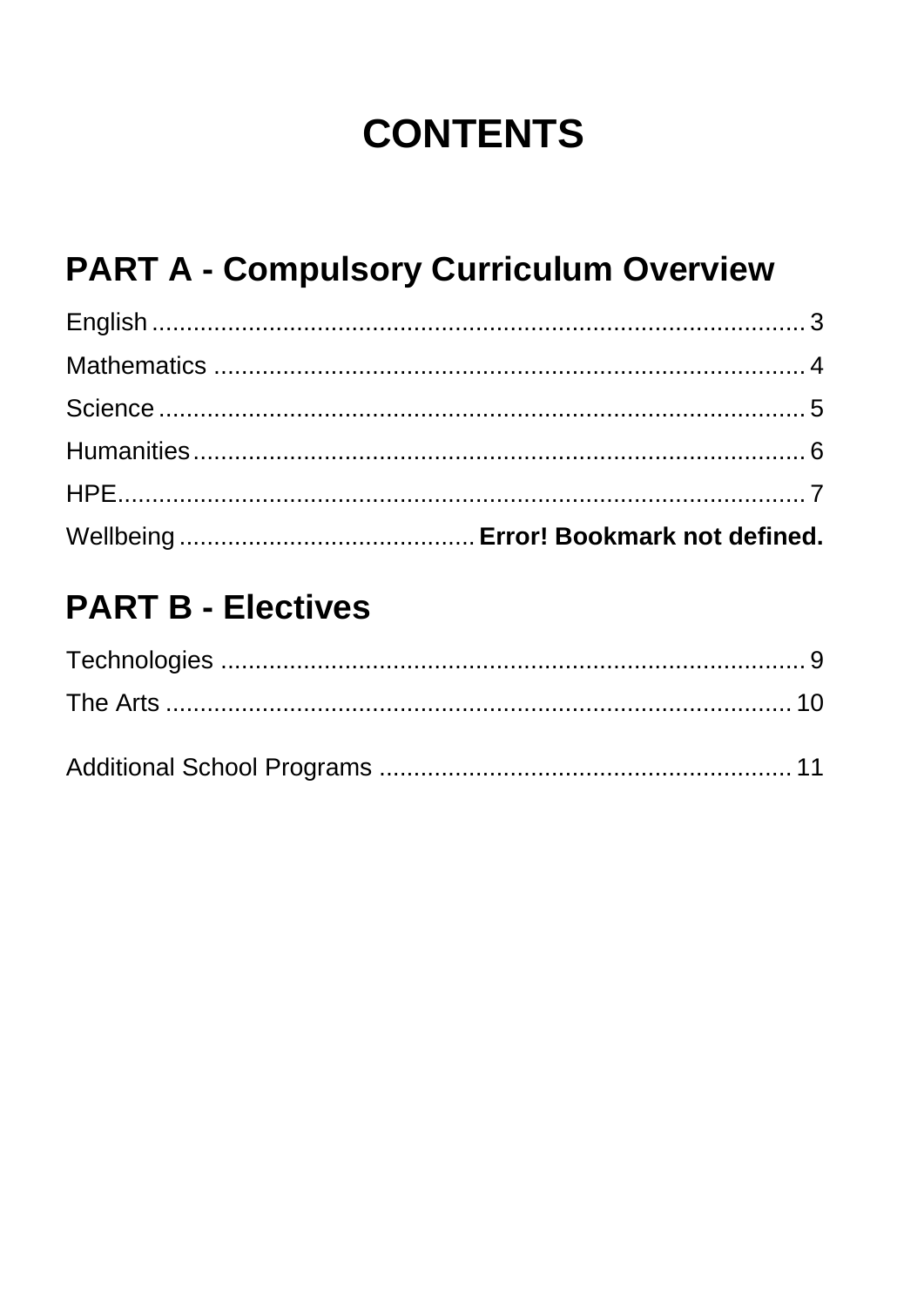## **CONTENTS**

## **PART A - Compulsory Curriculum Overview**

#### **PART B - Electives**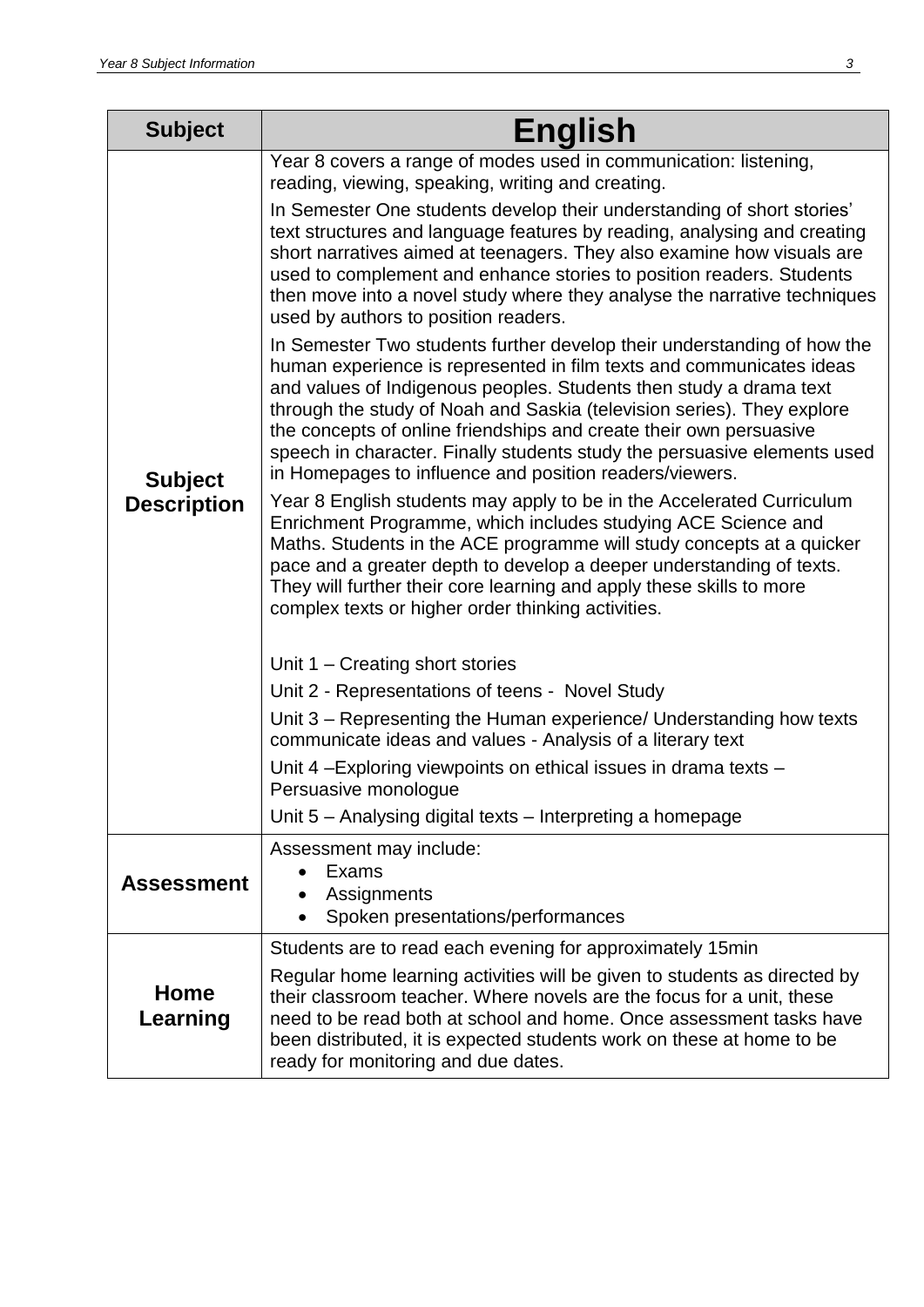<span id="page-2-0"></span>

| <b>Subject</b>                       | <b>English</b>                                                                                                                                                                                                                                                                                                                                                                                                                                                                                                                                                                                                                                                                                                                                                                                                                                                                                                                                                                                                                                                                                                                                                                                                                                                                                                                                                                                                                                                                                                                                                                                                                                                                                                                                                                                                                                                                    |
|--------------------------------------|-----------------------------------------------------------------------------------------------------------------------------------------------------------------------------------------------------------------------------------------------------------------------------------------------------------------------------------------------------------------------------------------------------------------------------------------------------------------------------------------------------------------------------------------------------------------------------------------------------------------------------------------------------------------------------------------------------------------------------------------------------------------------------------------------------------------------------------------------------------------------------------------------------------------------------------------------------------------------------------------------------------------------------------------------------------------------------------------------------------------------------------------------------------------------------------------------------------------------------------------------------------------------------------------------------------------------------------------------------------------------------------------------------------------------------------------------------------------------------------------------------------------------------------------------------------------------------------------------------------------------------------------------------------------------------------------------------------------------------------------------------------------------------------------------------------------------------------------------------------------------------------|
| <b>Subject</b><br><b>Description</b> | Year 8 covers a range of modes used in communication: listening,<br>reading, viewing, speaking, writing and creating.<br>In Semester One students develop their understanding of short stories'<br>text structures and language features by reading, analysing and creating<br>short narratives aimed at teenagers. They also examine how visuals are<br>used to complement and enhance stories to position readers. Students<br>then move into a novel study where they analyse the narrative techniques<br>used by authors to position readers.<br>In Semester Two students further develop their understanding of how the<br>human experience is represented in film texts and communicates ideas<br>and values of Indigenous peoples. Students then study a drama text<br>through the study of Noah and Saskia (television series). They explore<br>the concepts of online friendships and create their own persuasive<br>speech in character. Finally students study the persuasive elements used<br>in Homepages to influence and position readers/viewers.<br>Year 8 English students may apply to be in the Accelerated Curriculum<br>Enrichment Programme, which includes studying ACE Science and<br>Maths. Students in the ACE programme will study concepts at a quicker<br>pace and a greater depth to develop a deeper understanding of texts.<br>They will further their core learning and apply these skills to more<br>complex texts or higher order thinking activities.<br>Unit $1 -$ Creating short stories<br>Unit 2 - Representations of teens - Novel Study<br>Unit 3 – Representing the Human experience/ Understanding how texts<br>communicate ideas and values - Analysis of a literary text<br>Unit 4 – Exploring viewpoints on ethical issues in drama texts –<br>Persuasive monologue<br>Unit 5 – Analysing digital texts – Interpreting a homepage |
| <b>Assessment</b>                    | Assessment may include:<br>Exams<br>Assignments<br>Spoken presentations/performances<br>$\bullet$                                                                                                                                                                                                                                                                                                                                                                                                                                                                                                                                                                                                                                                                                                                                                                                                                                                                                                                                                                                                                                                                                                                                                                                                                                                                                                                                                                                                                                                                                                                                                                                                                                                                                                                                                                                 |
| Home<br>Learning                     | Students are to read each evening for approximately 15min<br>Regular home learning activities will be given to students as directed by<br>their classroom teacher. Where novels are the focus for a unit, these<br>need to be read both at school and home. Once assessment tasks have<br>been distributed, it is expected students work on these at home to be<br>ready for monitoring and due dates.                                                                                                                                                                                                                                                                                                                                                                                                                                                                                                                                                                                                                                                                                                                                                                                                                                                                                                                                                                                                                                                                                                                                                                                                                                                                                                                                                                                                                                                                            |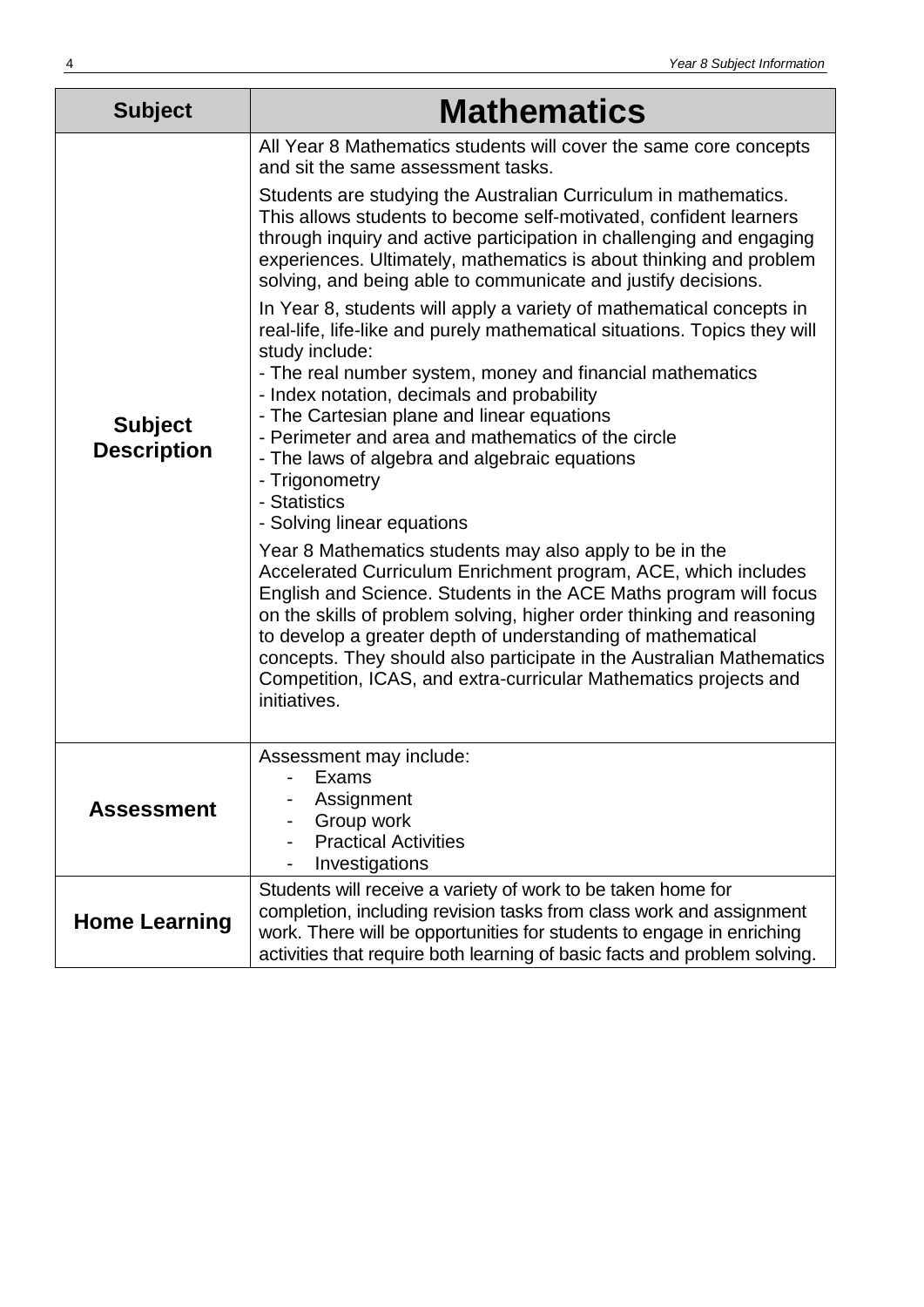<span id="page-3-0"></span>

| <b>Subject</b>                       | <b>Mathematics</b>                                                                                                                                                                                                                                                                                                                                                                                                                                                                                                               |
|--------------------------------------|----------------------------------------------------------------------------------------------------------------------------------------------------------------------------------------------------------------------------------------------------------------------------------------------------------------------------------------------------------------------------------------------------------------------------------------------------------------------------------------------------------------------------------|
| <b>Subject</b><br><b>Description</b> | All Year 8 Mathematics students will cover the same core concepts<br>and sit the same assessment tasks.                                                                                                                                                                                                                                                                                                                                                                                                                          |
|                                      | Students are studying the Australian Curriculum in mathematics.<br>This allows students to become self-motivated, confident learners<br>through inquiry and active participation in challenging and engaging<br>experiences. Ultimately, mathematics is about thinking and problem<br>solving, and being able to communicate and justify decisions.                                                                                                                                                                              |
|                                      | In Year 8, students will apply a variety of mathematical concepts in<br>real-life, life-like and purely mathematical situations. Topics they will<br>study include:                                                                                                                                                                                                                                                                                                                                                              |
|                                      | - The real number system, money and financial mathematics<br>- Index notation, decimals and probability<br>- The Cartesian plane and linear equations                                                                                                                                                                                                                                                                                                                                                                            |
|                                      | - Perimeter and area and mathematics of the circle<br>- The laws of algebra and algebraic equations<br>- Trigonometry<br>- Statistics                                                                                                                                                                                                                                                                                                                                                                                            |
|                                      | - Solving linear equations<br>Year 8 Mathematics students may also apply to be in the<br>Accelerated Curriculum Enrichment program, ACE, which includes<br>English and Science. Students in the ACE Maths program will focus<br>on the skills of problem solving, higher order thinking and reasoning<br>to develop a greater depth of understanding of mathematical<br>concepts. They should also participate in the Australian Mathematics<br>Competition, ICAS, and extra-curricular Mathematics projects and<br>initiatives. |
| <b>Assessment</b>                    | Assessment may include:<br>Exams<br>Assignment<br>Group work<br><b>Practical Activities</b><br>Investigations                                                                                                                                                                                                                                                                                                                                                                                                                    |
| <b>Home Learning</b>                 | Students will receive a variety of work to be taken home for<br>completion, including revision tasks from class work and assignment<br>work. There will be opportunities for students to engage in enriching<br>activities that require both learning of basic facts and problem solving.                                                                                                                                                                                                                                        |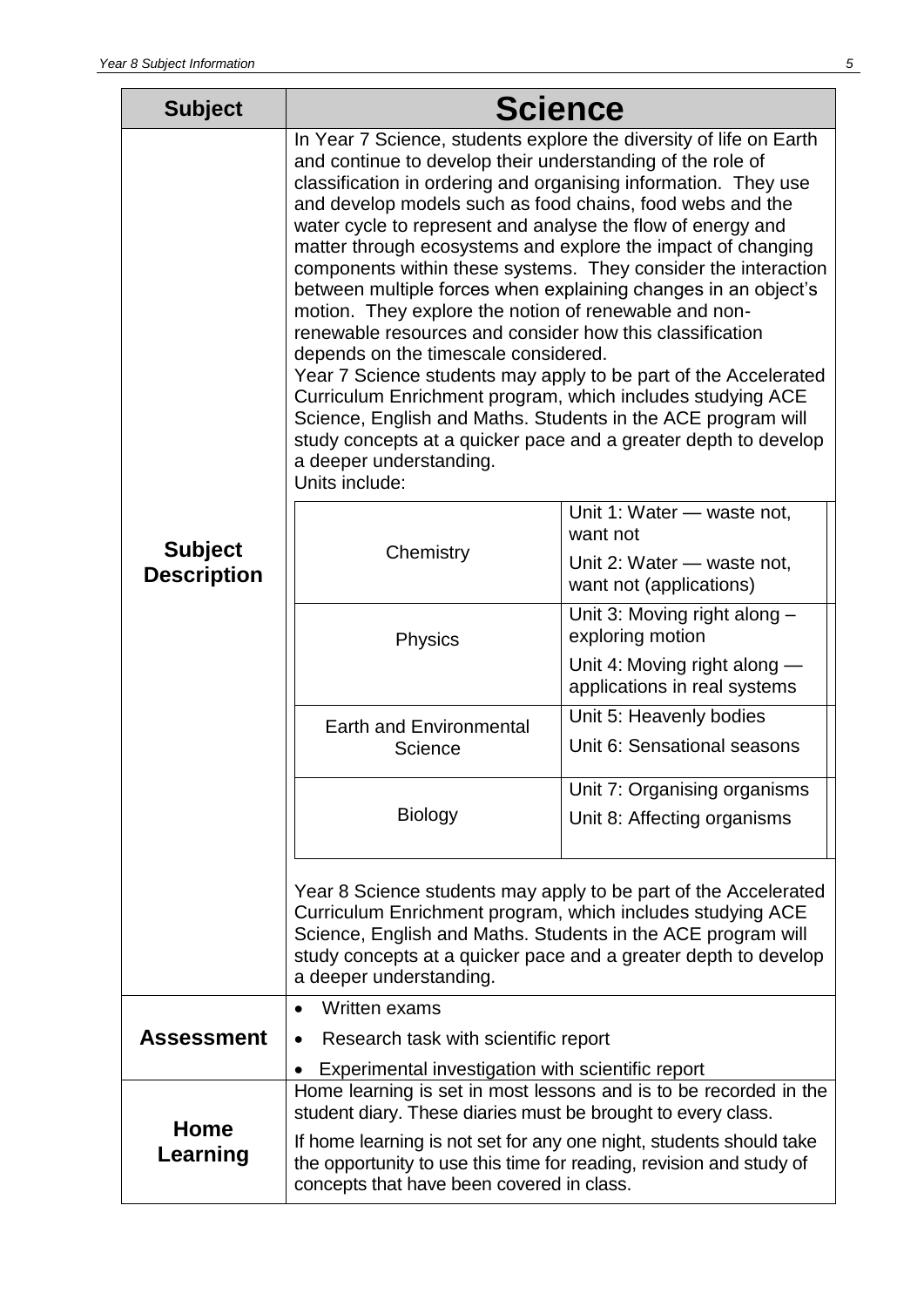<span id="page-4-0"></span>

| <b>Subject</b>                       |                                                                                                                                                                                                                                                                                                                                                                                                                                                                                                                                | <b>Science</b>                                                                                                                                                                                                                                                                                                                                                                                                                                                                  |
|--------------------------------------|--------------------------------------------------------------------------------------------------------------------------------------------------------------------------------------------------------------------------------------------------------------------------------------------------------------------------------------------------------------------------------------------------------------------------------------------------------------------------------------------------------------------------------|---------------------------------------------------------------------------------------------------------------------------------------------------------------------------------------------------------------------------------------------------------------------------------------------------------------------------------------------------------------------------------------------------------------------------------------------------------------------------------|
|                                      | and continue to develop their understanding of the role of<br>and develop models such as food chains, food webs and the<br>water cycle to represent and analyse the flow of energy and<br>motion. They explore the notion of renewable and non-<br>renewable resources and consider how this classification<br>depends on the timescale considered.<br>Curriculum Enrichment program, which includes studying ACE<br>Science, English and Maths. Students in the ACE program will<br>a deeper understanding.<br>Units include: | In Year 7 Science, students explore the diversity of life on Earth<br>classification in ordering and organising information. They use<br>matter through ecosystems and explore the impact of changing<br>components within these systems. They consider the interaction<br>between multiple forces when explaining changes in an object's<br>Year 7 Science students may apply to be part of the Accelerated<br>study concepts at a quicker pace and a greater depth to develop |
| <b>Subject</b><br><b>Description</b> | Chemistry                                                                                                                                                                                                                                                                                                                                                                                                                                                                                                                      | Unit 1: Water — waste not,<br>want not<br>Unit 2: Water - waste not,<br>want not (applications)                                                                                                                                                                                                                                                                                                                                                                                 |
|                                      | <b>Physics</b>                                                                                                                                                                                                                                                                                                                                                                                                                                                                                                                 | Unit 3: Moving right along -<br>exploring motion<br>Unit 4: Moving right along —<br>applications in real systems                                                                                                                                                                                                                                                                                                                                                                |
|                                      | <b>Earth and Environmental</b><br>Science                                                                                                                                                                                                                                                                                                                                                                                                                                                                                      | Unit 5: Heavenly bodies<br>Unit 6: Sensational seasons                                                                                                                                                                                                                                                                                                                                                                                                                          |
|                                      | <b>Biology</b>                                                                                                                                                                                                                                                                                                                                                                                                                                                                                                                 | Unit 7: Organising organisms<br>Unit 8: Affecting organisms                                                                                                                                                                                                                                                                                                                                                                                                                     |
|                                      | Year 8 Science students may apply to be part of the Accelerated<br>Curriculum Enrichment program, which includes studying ACE<br>Science, English and Maths. Students in the ACE program will<br>study concepts at a quicker pace and a greater depth to develop<br>a deeper understanding.                                                                                                                                                                                                                                    |                                                                                                                                                                                                                                                                                                                                                                                                                                                                                 |
| <b>Assessment</b>                    | Written exams<br>$\bullet$<br>Research task with scientific report<br>$\bullet$                                                                                                                                                                                                                                                                                                                                                                                                                                                |                                                                                                                                                                                                                                                                                                                                                                                                                                                                                 |
| Home<br>Learning                     | Experimental investigation with scientific report<br>$\bullet$<br>student diary. These diaries must be brought to every class.<br>the opportunity to use this time for reading, revision and study of<br>concepts that have been covered in class.                                                                                                                                                                                                                                                                             | Home learning is set in most lessons and is to be recorded in the<br>If home learning is not set for any one night, students should take                                                                                                                                                                                                                                                                                                                                        |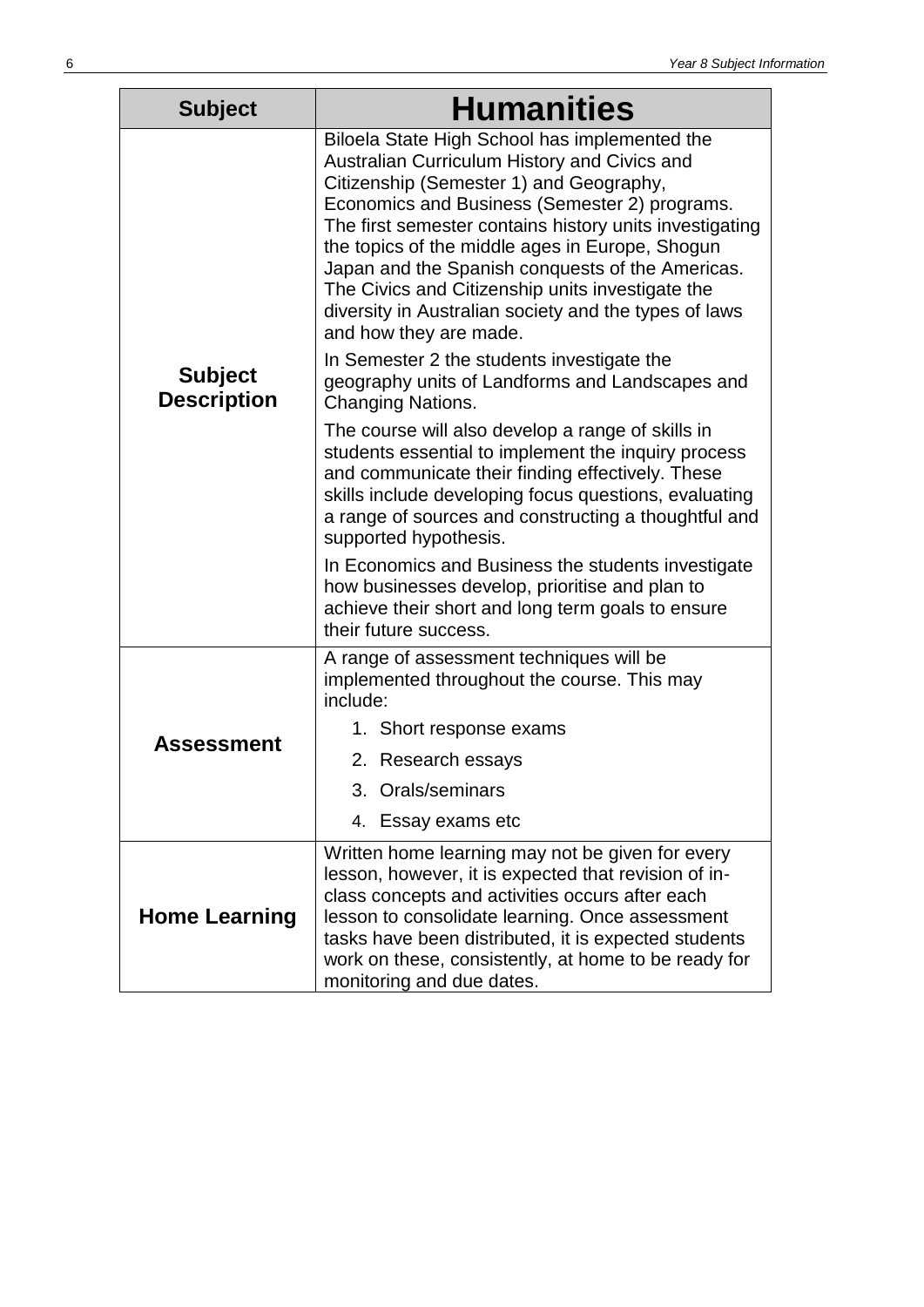<span id="page-5-0"></span>

| <b>Subject</b>                       | <b>Humanities</b>                                                                                                                                                                                                                                                                                                                                                                                                                                                                                  |  |
|--------------------------------------|----------------------------------------------------------------------------------------------------------------------------------------------------------------------------------------------------------------------------------------------------------------------------------------------------------------------------------------------------------------------------------------------------------------------------------------------------------------------------------------------------|--|
|                                      | Biloela State High School has implemented the<br>Australian Curriculum History and Civics and<br>Citizenship (Semester 1) and Geography,<br>Economics and Business (Semester 2) programs.<br>The first semester contains history units investigating<br>the topics of the middle ages in Europe, Shogun<br>Japan and the Spanish conquests of the Americas.<br>The Civics and Citizenship units investigate the<br>diversity in Australian society and the types of laws<br>and how they are made. |  |
| <b>Subject</b><br><b>Description</b> | In Semester 2 the students investigate the<br>geography units of Landforms and Landscapes and<br><b>Changing Nations.</b>                                                                                                                                                                                                                                                                                                                                                                          |  |
|                                      | The course will also develop a range of skills in<br>students essential to implement the inquiry process<br>and communicate their finding effectively. These<br>skills include developing focus questions, evaluating<br>a range of sources and constructing a thoughtful and<br>supported hypothesis.                                                                                                                                                                                             |  |
|                                      | In Economics and Business the students investigate<br>how businesses develop, prioritise and plan to<br>achieve their short and long term goals to ensure<br>their future success.                                                                                                                                                                                                                                                                                                                 |  |
|                                      | A range of assessment techniques will be<br>implemented throughout the course. This may<br>include:                                                                                                                                                                                                                                                                                                                                                                                                |  |
| Assessment                           | 1. Short response exams                                                                                                                                                                                                                                                                                                                                                                                                                                                                            |  |
|                                      | 2. Research essays                                                                                                                                                                                                                                                                                                                                                                                                                                                                                 |  |
|                                      | 3. Orals/seminars                                                                                                                                                                                                                                                                                                                                                                                                                                                                                  |  |
|                                      | 4. Essay exams etc                                                                                                                                                                                                                                                                                                                                                                                                                                                                                 |  |
| <b>Home Learning</b>                 | Written home learning may not be given for every<br>lesson, however, it is expected that revision of in-<br>class concepts and activities occurs after each<br>lesson to consolidate learning. Once assessment<br>tasks have been distributed, it is expected students<br>work on these, consistently, at home to be ready for<br>monitoring and due dates.                                                                                                                                        |  |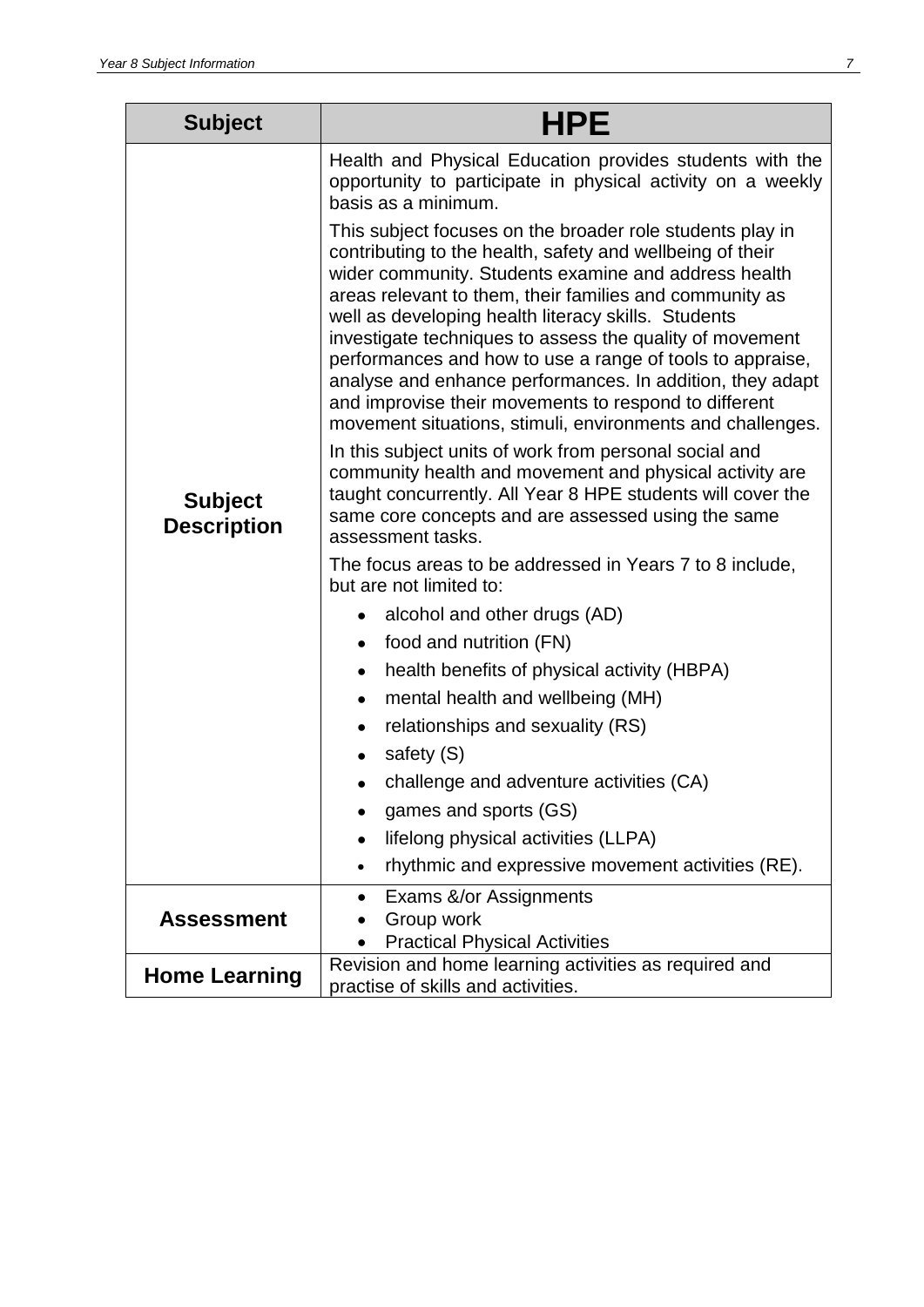<span id="page-6-0"></span>

| <b>Subject</b>                       | <b>HPE</b>                                                                                                                                                                                                                                                                                                                                                                                                                                                                                                                                                                                                    |  |
|--------------------------------------|---------------------------------------------------------------------------------------------------------------------------------------------------------------------------------------------------------------------------------------------------------------------------------------------------------------------------------------------------------------------------------------------------------------------------------------------------------------------------------------------------------------------------------------------------------------------------------------------------------------|--|
| <b>Subject</b><br><b>Description</b> | Health and Physical Education provides students with the<br>opportunity to participate in physical activity on a weekly<br>basis as a minimum.                                                                                                                                                                                                                                                                                                                                                                                                                                                                |  |
|                                      | This subject focuses on the broader role students play in<br>contributing to the health, safety and wellbeing of their<br>wider community. Students examine and address health<br>areas relevant to them, their families and community as<br>well as developing health literacy skills. Students<br>investigate techniques to assess the quality of movement<br>performances and how to use a range of tools to appraise,<br>analyse and enhance performances. In addition, they adapt<br>and improvise their movements to respond to different<br>movement situations, stimuli, environments and challenges. |  |
|                                      | In this subject units of work from personal social and<br>community health and movement and physical activity are<br>taught concurrently. All Year 8 HPE students will cover the<br>same core concepts and are assessed using the same<br>assessment tasks.                                                                                                                                                                                                                                                                                                                                                   |  |
|                                      | The focus areas to be addressed in Years 7 to 8 include,<br>but are not limited to:                                                                                                                                                                                                                                                                                                                                                                                                                                                                                                                           |  |
|                                      | alcohol and other drugs (AD)                                                                                                                                                                                                                                                                                                                                                                                                                                                                                                                                                                                  |  |
|                                      | food and nutrition (FN)<br>$\bullet$                                                                                                                                                                                                                                                                                                                                                                                                                                                                                                                                                                          |  |
|                                      | health benefits of physical activity (HBPA)<br>$\bullet$                                                                                                                                                                                                                                                                                                                                                                                                                                                                                                                                                      |  |
|                                      | mental health and wellbeing (MH)<br>$\bullet$                                                                                                                                                                                                                                                                                                                                                                                                                                                                                                                                                                 |  |
|                                      | relationships and sexuality (RS)                                                                                                                                                                                                                                                                                                                                                                                                                                                                                                                                                                              |  |
|                                      | safety (S)<br>$\bullet$                                                                                                                                                                                                                                                                                                                                                                                                                                                                                                                                                                                       |  |
|                                      | challenge and adventure activities (CA)                                                                                                                                                                                                                                                                                                                                                                                                                                                                                                                                                                       |  |
|                                      | games and sports (GS)                                                                                                                                                                                                                                                                                                                                                                                                                                                                                                                                                                                         |  |
|                                      | lifelong physical activities (LLPA)<br>$\bullet$                                                                                                                                                                                                                                                                                                                                                                                                                                                                                                                                                              |  |
|                                      | rhythmic and expressive movement activities (RE).<br>$\bullet$                                                                                                                                                                                                                                                                                                                                                                                                                                                                                                                                                |  |
|                                      | Exams &/or Assignments                                                                                                                                                                                                                                                                                                                                                                                                                                                                                                                                                                                        |  |
| <b>Assessment</b>                    | Group work                                                                                                                                                                                                                                                                                                                                                                                                                                                                                                                                                                                                    |  |
|                                      | <b>Practical Physical Activities</b><br>Revision and home learning activities as required and                                                                                                                                                                                                                                                                                                                                                                                                                                                                                                                 |  |
| <b>Home Learning</b>                 | practise of skills and activities.                                                                                                                                                                                                                                                                                                                                                                                                                                                                                                                                                                            |  |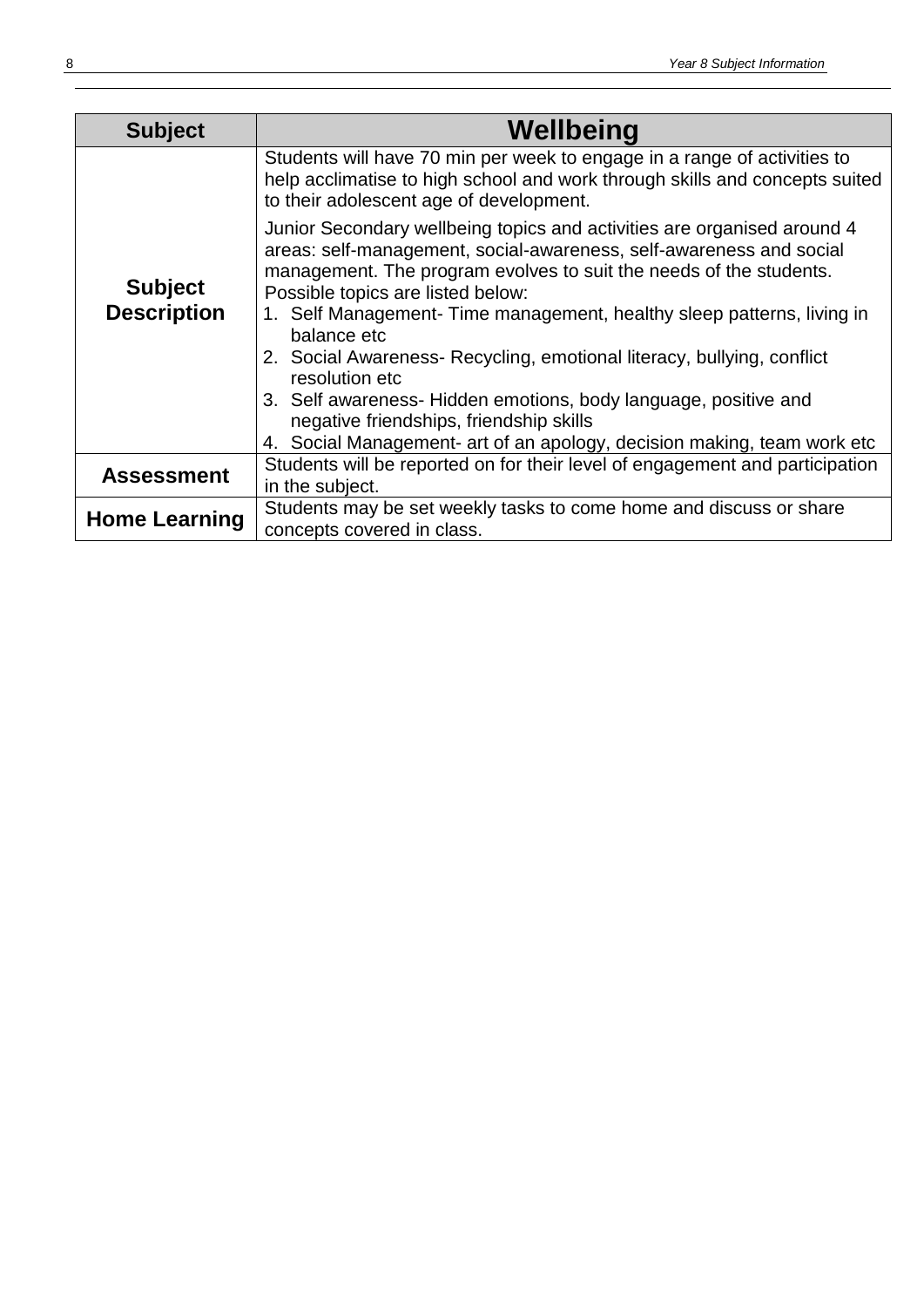| <b>Subject</b>                       | Wellbeing                                                                                                                                                                                                                                                 |  |
|--------------------------------------|-----------------------------------------------------------------------------------------------------------------------------------------------------------------------------------------------------------------------------------------------------------|--|
| <b>Subject</b><br><b>Description</b> | Students will have 70 min per week to engage in a range of activities to<br>help acclimatise to high school and work through skills and concepts suited<br>to their adolescent age of development.                                                        |  |
|                                      | Junior Secondary wellbeing topics and activities are organised around 4<br>areas: self-management, social-awareness, self-awareness and social<br>management. The program evolves to suit the needs of the students.<br>Possible topics are listed below: |  |
|                                      | 1. Self Management- Time management, healthy sleep patterns, living in<br>balance etc                                                                                                                                                                     |  |
|                                      | 2. Social Awareness- Recycling, emotional literacy, bullying, conflict<br>resolution etc                                                                                                                                                                  |  |
|                                      | 3. Self awareness- Hidden emotions, body language, positive and<br>negative friendships, friendship skills                                                                                                                                                |  |
|                                      | 4. Social Management- art of an apology, decision making, team work etc                                                                                                                                                                                   |  |
| <b>Assessment</b>                    | Students will be reported on for their level of engagement and participation                                                                                                                                                                              |  |
|                                      | in the subject.                                                                                                                                                                                                                                           |  |
| <b>Home Learning</b>                 | Students may be set weekly tasks to come home and discuss or share                                                                                                                                                                                        |  |
|                                      | concepts covered in class.                                                                                                                                                                                                                                |  |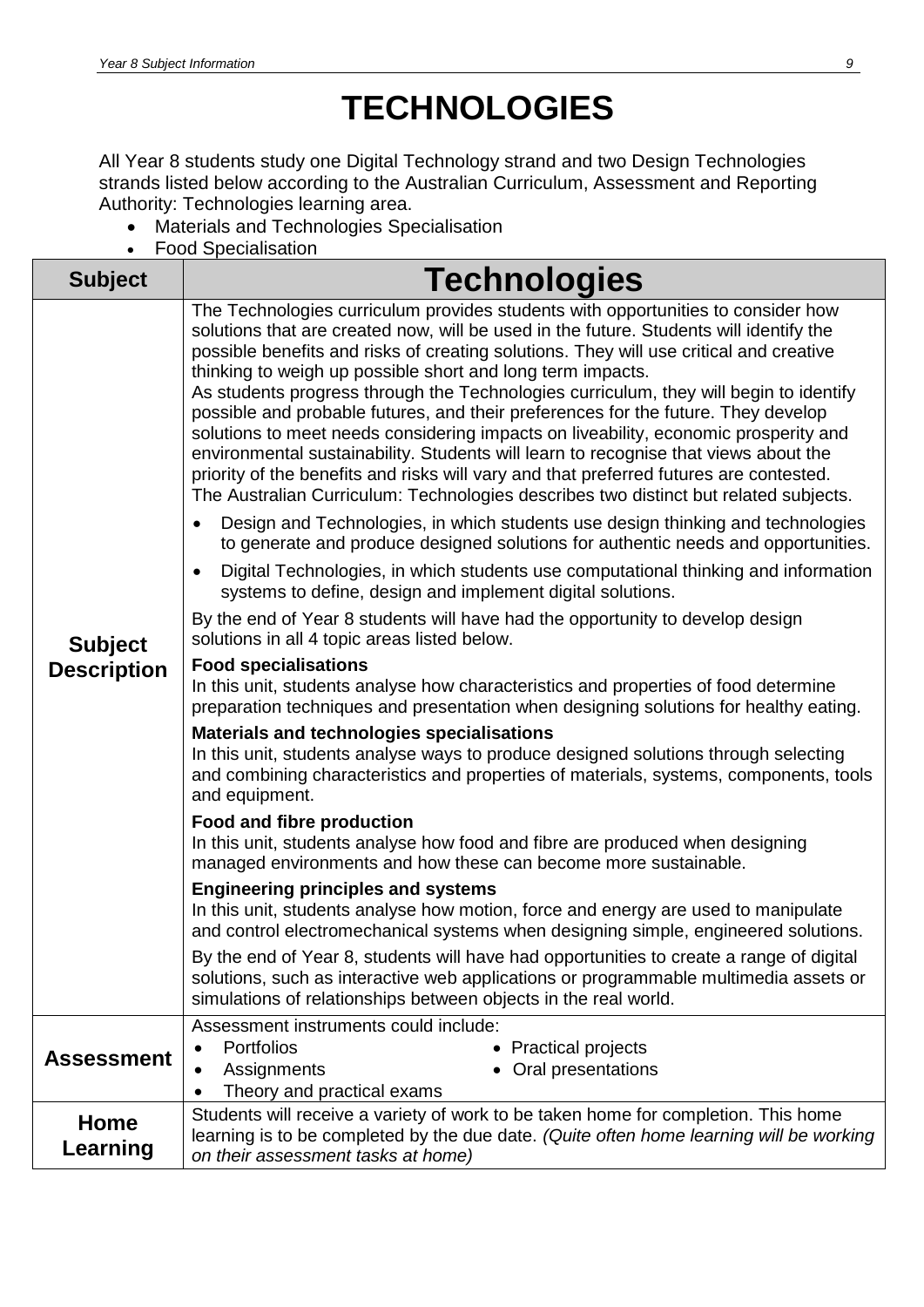## **TECHNOLOGIES**

All Year 8 students study one Digital Technology strand and two Design Technologies strands listed below according to the Australian Curriculum, Assessment and Reporting Authority: Technologies learning area.

- Materials and Technologies Specialisation
- <span id="page-8-0"></span>Food Specialisation

| <b>Subject</b>                       | <b>Technologies</b>                                                                                                                                                                                                                                                                                                                                                                                                                                                                                                                                                                                                                                                                                                                                                                                                                                                              |
|--------------------------------------|----------------------------------------------------------------------------------------------------------------------------------------------------------------------------------------------------------------------------------------------------------------------------------------------------------------------------------------------------------------------------------------------------------------------------------------------------------------------------------------------------------------------------------------------------------------------------------------------------------------------------------------------------------------------------------------------------------------------------------------------------------------------------------------------------------------------------------------------------------------------------------|
| <b>Subject</b><br><b>Description</b> | The Technologies curriculum provides students with opportunities to consider how<br>solutions that are created now, will be used in the future. Students will identify the<br>possible benefits and risks of creating solutions. They will use critical and creative<br>thinking to weigh up possible short and long term impacts.<br>As students progress through the Technologies curriculum, they will begin to identify<br>possible and probable futures, and their preferences for the future. They develop<br>solutions to meet needs considering impacts on liveability, economic prosperity and<br>environmental sustainability. Students will learn to recognise that views about the<br>priority of the benefits and risks will vary and that preferred futures are contested.<br>The Australian Curriculum: Technologies describes two distinct but related subjects. |
|                                      | Design and Technologies, in which students use design thinking and technologies<br>$\bullet$<br>to generate and produce designed solutions for authentic needs and opportunities.<br>Digital Technologies, in which students use computational thinking and information<br>$\bullet$<br>systems to define, design and implement digital solutions.                                                                                                                                                                                                                                                                                                                                                                                                                                                                                                                               |
|                                      | By the end of Year 8 students will have had the opportunity to develop design<br>solutions in all 4 topic areas listed below.                                                                                                                                                                                                                                                                                                                                                                                                                                                                                                                                                                                                                                                                                                                                                    |
|                                      | <b>Food specialisations</b><br>In this unit, students analyse how characteristics and properties of food determine<br>preparation techniques and presentation when designing solutions for healthy eating.                                                                                                                                                                                                                                                                                                                                                                                                                                                                                                                                                                                                                                                                       |
|                                      | <b>Materials and technologies specialisations</b><br>In this unit, students analyse ways to produce designed solutions through selecting<br>and combining characteristics and properties of materials, systems, components, tools<br>and equipment.                                                                                                                                                                                                                                                                                                                                                                                                                                                                                                                                                                                                                              |
|                                      | Food and fibre production<br>In this unit, students analyse how food and fibre are produced when designing<br>managed environments and how these can become more sustainable.                                                                                                                                                                                                                                                                                                                                                                                                                                                                                                                                                                                                                                                                                                    |
|                                      | <b>Engineering principles and systems</b><br>In this unit, students analyse how motion, force and energy are used to manipulate<br>and control electromechanical systems when designing simple, engineered solutions.                                                                                                                                                                                                                                                                                                                                                                                                                                                                                                                                                                                                                                                            |
|                                      | By the end of Year 8, students will have had opportunities to create a range of digital<br>solutions, such as interactive web applications or programmable multimedia assets or<br>simulations of relationships between objects in the real world.                                                                                                                                                                                                                                                                                                                                                                                                                                                                                                                                                                                                                               |
| <b>Assessment</b>                    | Assessment instruments could include:<br><b>Portfolios</b><br>• Practical projects<br>$\bullet$<br>Oral presentations<br>Assignments<br>$\bullet$<br>Theory and practical exams<br>$\bullet$                                                                                                                                                                                                                                                                                                                                                                                                                                                                                                                                                                                                                                                                                     |
| Home<br>Learning                     | Students will receive a variety of work to be taken home for completion. This home<br>learning is to be completed by the due date. (Quite often home learning will be working<br>on their assessment tasks at home)                                                                                                                                                                                                                                                                                                                                                                                                                                                                                                                                                                                                                                                              |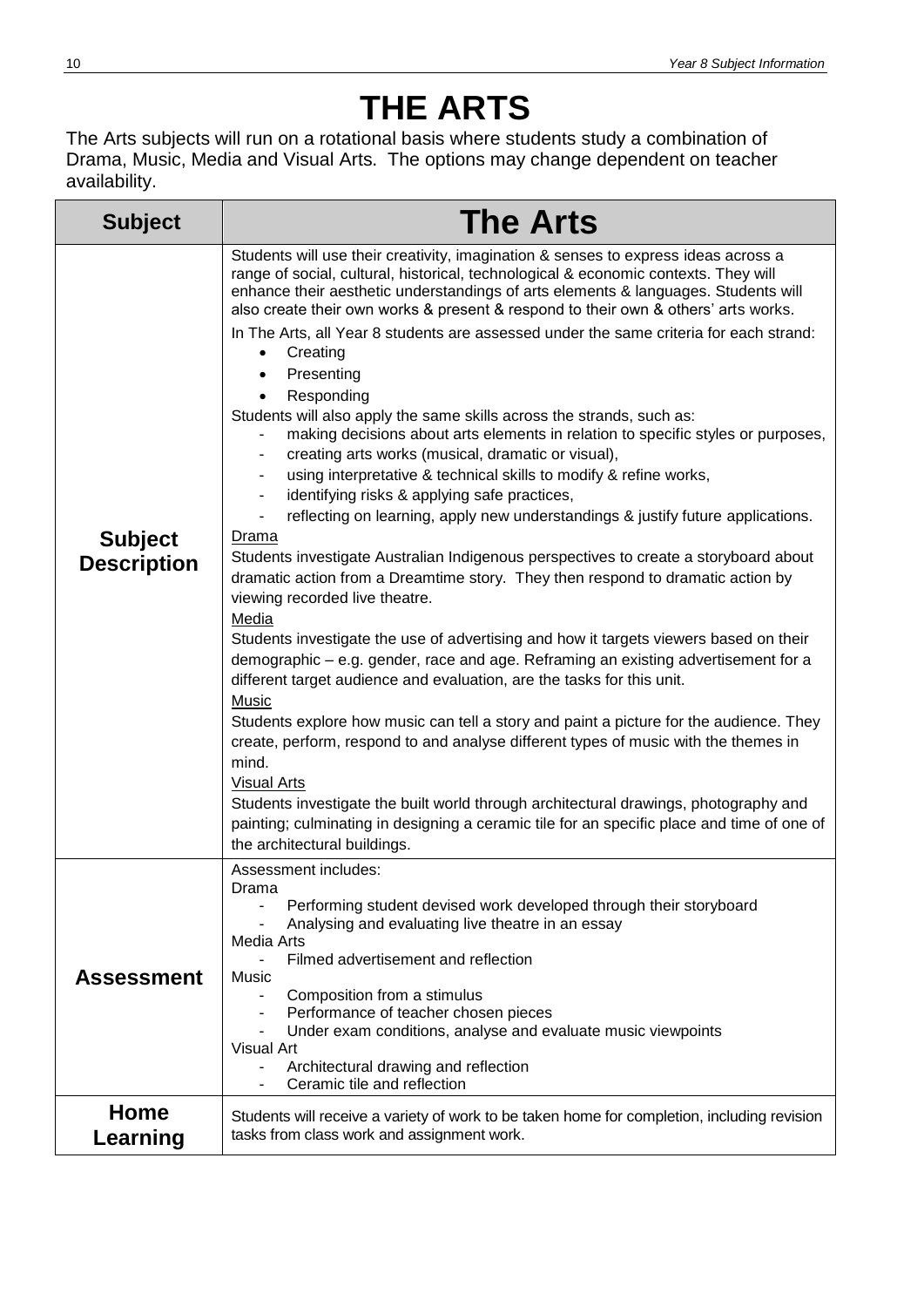### **THE ARTS**

The Arts subjects will run on a rotational basis where students study a combination of Drama, Music, Media and Visual Arts. The options may change dependent on teacher availability.

<span id="page-9-0"></span>

| <b>Subject</b>                       | <b>The Arts</b>                                                                                                                                                                                                                                                                                                                                                                                                                                                                                                                                                                                                                                                                                                                                                                                                                                                                                                                                                                                                                                                                                                                                                                                                                                                                                                                                                                                                                                                                                                                                                                                                                                                                                                                                                                                                                                                                    |
|--------------------------------------|------------------------------------------------------------------------------------------------------------------------------------------------------------------------------------------------------------------------------------------------------------------------------------------------------------------------------------------------------------------------------------------------------------------------------------------------------------------------------------------------------------------------------------------------------------------------------------------------------------------------------------------------------------------------------------------------------------------------------------------------------------------------------------------------------------------------------------------------------------------------------------------------------------------------------------------------------------------------------------------------------------------------------------------------------------------------------------------------------------------------------------------------------------------------------------------------------------------------------------------------------------------------------------------------------------------------------------------------------------------------------------------------------------------------------------------------------------------------------------------------------------------------------------------------------------------------------------------------------------------------------------------------------------------------------------------------------------------------------------------------------------------------------------------------------------------------------------------------------------------------------------|
| <b>Subject</b><br><b>Description</b> | Students will use their creativity, imagination & senses to express ideas across a<br>range of social, cultural, historical, technological & economic contexts. They will<br>enhance their aesthetic understandings of arts elements & languages. Students will<br>also create their own works & present & respond to their own & others' arts works.<br>In The Arts, all Year 8 students are assessed under the same criteria for each strand:<br>Creating<br>$\bullet$<br>Presenting<br>Responding<br>Students will also apply the same skills across the strands, such as:<br>making decisions about arts elements in relation to specific styles or purposes,<br>creating arts works (musical, dramatic or visual),<br>-<br>using interpretative & technical skills to modify & refine works,<br>identifying risks & applying safe practices,<br>reflecting on learning, apply new understandings & justify future applications.<br>Drama<br>Students investigate Australian Indigenous perspectives to create a storyboard about<br>dramatic action from a Dreamtime story. They then respond to dramatic action by<br>viewing recorded live theatre.<br>Media<br>Students investigate the use of advertising and how it targets viewers based on their<br>demographic - e.g. gender, race and age. Reframing an existing advertisement for a<br>different target audience and evaluation, are the tasks for this unit.<br><b>Music</b><br>Students explore how music can tell a story and paint a picture for the audience. They<br>create, perform, respond to and analyse different types of music with the themes in<br>mind.<br><b>Visual Arts</b><br>Students investigate the built world through architectural drawings, photography and<br>painting; culminating in designing a ceramic tile for an specific place and time of one of<br>the architectural buildings. |
| <b>Assessment</b>                    | Assessment includes:<br>Drama<br>Performing student devised work developed through their storyboard<br>Analysing and evaluating live theatre in an essay<br><b>Media Arts</b><br>Filmed advertisement and reflection<br>$\overline{\phantom{0}}$<br>Music<br>Composition from a stimulus<br>Performance of teacher chosen pieces<br>-<br>Under exam conditions, analyse and evaluate music viewpoints<br><b>Visual Art</b><br>Architectural drawing and reflection<br>Ceramic tile and reflection                                                                                                                                                                                                                                                                                                                                                                                                                                                                                                                                                                                                                                                                                                                                                                                                                                                                                                                                                                                                                                                                                                                                                                                                                                                                                                                                                                                  |
| Home<br>Learning                     | Students will receive a variety of work to be taken home for completion, including revision<br>tasks from class work and assignment work.                                                                                                                                                                                                                                                                                                                                                                                                                                                                                                                                                                                                                                                                                                                                                                                                                                                                                                                                                                                                                                                                                                                                                                                                                                                                                                                                                                                                                                                                                                                                                                                                                                                                                                                                          |